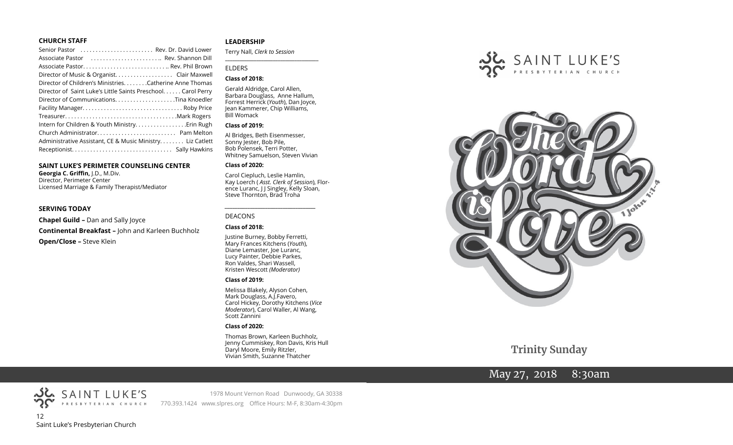#### **CHURCH STAFF**

| Senior Pastor  Rev. Dr. David Lower                           |  |
|---------------------------------------------------------------|--|
| Associate Pastor  Rev. Shannon Dill                           |  |
|                                                               |  |
| Director of Music & Organist. Clair Maxwell                   |  |
| Director of Children's Ministries. Catherine Anne Thomas      |  |
| Director of Saint Luke's Little Saints Preschool. Carol Perry |  |
|                                                               |  |
|                                                               |  |
|                                                               |  |
| Intern for Children & Youth Ministry Erin Rugh                |  |
|                                                               |  |
| Administrative Assistant, CE & Music Ministry Liz Catlett     |  |
|                                                               |  |
|                                                               |  |

#### **SAINT LUKE'S PERIMETER COUNSELING CENTER**

**Georgia C. Griffin,** J.D., M.Div. Director, Perimeter Center Licensed Marriage & Family Therapist/Mediator

#### **SERVING TODAY**

**Chapel Guild –** Dan and Sally Joyce **Continental Breakfast –** John and Karleen Buchholz **Open/Close –** Steve Klein

#### **LEADERSHIP**

Terry Nall, *Clerk to Session* 

#### ELDERS

#### **Class of 2018:**

Gerald Aldridge, Carol Allen, Barbara Douglass, Anne Hallum, Forrest Herrick (*Youth*), Dan Joyce, Jean Kammerer, Chip Williams, Bill Womack

**\_\_\_\_\_\_\_\_\_\_\_\_\_\_\_\_\_\_\_\_\_\_\_\_\_\_\_\_\_\_\_\_\_\_\_\_\_\_\_**

#### **Class of 2019:**

Al Bridges, Beth Eisenmesser, Sonny Jester, Bob Pile, Bob Polensek, Terri Potter, Whitney Samuelson, Steven Vivian

#### **Class of 2020:**

Carol Ciepluch, Leslie Hamlin, Kay Loerch ( *Asst. Clerk of Session*), Florence Luranc, J J Singley, Kelly Sloan, Steve Thornton, Brad Troha

*\_\_\_\_\_\_\_\_\_\_\_\_\_\_\_\_\_\_\_\_\_\_\_\_\_\_\_\_\_\_\_\_\_\_\_\_*

#### DEACONS

#### **Class of 2018:**

Justine Burney, Bobby Ferretti, Mary Frances Kitchens (*Youth*), Diane Lemaster, Joe Luranc, Lucy Painter, Debbie Parkes, Ron Valdes, Shari Wassell, Kristen Wescott *(Moderator)*

#### **Class of 2019:**

Melissa Blakely, Alyson Cohen, Mark Douglass, A.J.Favero, Carol Hickey, Dorothy Kitchens (*Vice Moderator*), Carol Waller, Al Wang, Scott Zannini

#### **Class of 2020:**

Thomas Brown, Karleen Buchholz, Jenny Cummiskey, Ron Davis, Kris Hull Daryl Moore, Emily Ritzler, Vivian Smith, Suzanne Thatcher





**Trinity Sunday**

# May 27, 2018 8:30am



SAINT LUKE'S

1978 Mount Vernon Road Dunwoody, GA 30338 770.393.1424 www.slpres.org Office Hours: M-F, 8:30am-4:30pm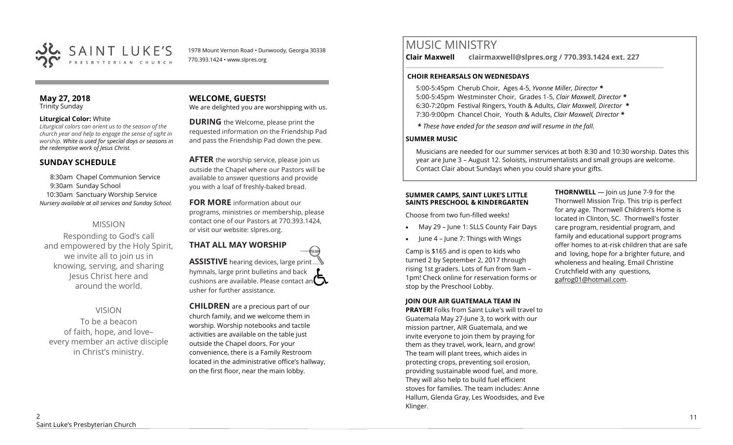

1978 Mount Vernon Road • Dunwoody, Georgia 30338 770.393.1424 • www.slpres.org

#### **May 27, 2018**  Trinity Sunday

#### **Liturgical Color:** White

*Liturgical colors can orient us to the season of the church year and help to engage the sense of sight in worship. White is used for special days or seasons in the redemptive work of Jesus Christ.* 

## **SUNDAY SCHEDULE**

8:30am Chapel Communion Service 9:30am Sunday School 10:30am Sanctuary Worship Service *Nursery available at all services and Sunday School.* 

# MISSION

Responding to God's call and empowered by the Holy Spirit, we invite all to join us in knowing, serving, and sharing Jesus Christ here and around the world.

# VISION

To be a beacon of faith, hope, and love– every member an active disciple in Christ's ministry.

## **WELCOME, GUESTS!**

We are delighted you are worshipping with us.

**DURING** the Welcome, please print the requested information on the Friendship Pad and pass the Friendship Pad down the pew.

**AFTER** the worship service, please join us outside the Chapel where our Pastors will be available to answer questions and provide you with a loaf of freshly-baked bread.

**FOR MORE** information about our programs, ministries or membership, please contact one of our Pastors at 770.393.1424, or visit our website: slpres.org.

# **THAT ALL MAY WORSHIP**

**ASSISTIVE** hearing devices, large print... hymnals, large print bulletins and back cushions are available. Please contact an  $\square$ usher for further assistance.

thisted

**CHILDREN** are a precious part of our church family, and we welcome them in worship. Worship notebooks and tactile activities are available on the table just outside the Chapel doors. For your convenience, there is a Family Restroom located in the administrative office's hallway, on the first floor, near the main lobby.

# MUSIC MINISTRY

**Clair Maxwell clairmaxwell@slpres.org / 770.393.1424 ext. 227**  \_\_\_\_\_\_\_\_\_\_\_\_\_\_\_\_\_\_\_\_\_\_\_\_\_\_\_\_\_\_\_\_\_\_\_\_\_\_\_\_\_\_\_\_\_\_\_\_\_\_\_\_\_\_\_\_\_\_\_\_\_\_\_\_\_\_\_\_\_\_\_\_\_\_\_\_\_\_\_\_\_\_\_\_\_\_\_\_

#### **CHOIR REHEARSALS ON WEDNESDAYS**

5:00-5:45pm Cherub Choir, Ages 4-5, *Yvonne Miller, Director \** 5:00-5:45pm Westminster Choir, Grades 1-5, *Clair Maxwell, Director \**  6:30-7:20pm Festival Ringers, Youth & Adults, *Clair Maxwell, Director \** 7:30-9:00pm Chancel Choir, Youth & Adults, *Clair Maxwell, Director \**

**\*** *These have ended for the season and will resume in the fall.*

### **SUMMER MUSIC**

Musicians are needed for our summer services at both 8:30 and 10:30 worship. Dates this year are June 3 – August 12. Soloists, instrumentalists and small groups are welcome. Contact Clair about Sundays when you could share your gifts.

#### **SUMMER CAMPS, SAINT LUKE'S LITTLE SAINTS PRESCHOOL & KINDERGARTEN**

Choose from two fun-filled weeks!

- May 29 June 1: SLLS County Fair Days
- June 4 June 7: Things with Wings

Camp is \$165 and is open to kids who turned 2 by September 2, 2017 through rising 1st graders. Lots of fun from 9am – 1pm! Check online for reservation forms or stop by the Preschool Lobby.

**JOIN OUR AIR GUATEMALA TEAM IN** 

**PRAYER!** Folks from Saint Luke's will travel to Guatemala May 27-June 3, to work with our mission partner, AIR Guatemala, and we invite everyone to join them by praying for them as they travel, work, learn, and grow! The team will plant trees, which aides in protecting crops, preventing soil erosion, providing sustainable wood fuel, and more. They will also help to build fuel efficient stoves for families. The team includes: Anne Hallum, Glenda Gray, Les Woodsides, and Eve Klinger.

**THORNWELL** — Join us June 7-9 for the Thornwell Mission Trip. This trip is perfect for any age. Thornwell Children's Home is located in Clinton, SC. Thornwell's foster care program, residential program, and family and educational support programs offer homes to at-risk children that are safe and loving, hope for a brighter future, and wholeness and healing. Email Christine Crutchfield with any questions, gafrog01@hotmail.com.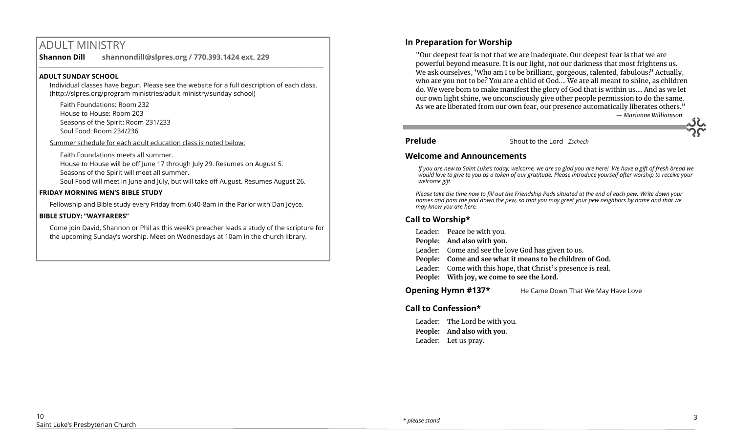# ADULT MINISTRY

**Shannon Dill shannondill@slpres.org / 770.393.1424 ext. 229** 

### **ADULT SUNDAY SCHOOL**

Individual classes have begun. Please see the website for a full description of each class. (http://slpres.org/program-ministries/adult-ministry/sunday-school)

 $\_$  ,  $\_$  ,  $\_$  ,  $\_$  ,  $\_$  ,  $\_$  ,  $\_$  ,  $\_$  ,  $\_$  ,  $\_$  ,  $\_$  ,  $\_$  ,  $\_$  ,  $\_$  ,  $\_$  ,  $\_$  ,  $\_$  ,  $\_$  ,  $\_$ 

Faith Foundations: Room 232 House to House: Room 203 Seasons of the Spirit: Room 231/233 Soul Food: Room 234/236

Summer schedule for each adult education class is noted below:

Faith Foundations meets all summer. House to House will be off June 17 through July 29. Resumes on August 5. Seasons of the Spirit will meet all summer.

Soul Food will meet in June and July, but will take off August. Resumes August 26.

#### **FRIDAY MORNING MEN'S BIBLE STUDY**

Fellowship and Bible study every Friday from 6:40-8am in the Parlor with Dan Joyce.

#### **BIBLE STUDY: "WAYFARERS"**

Come join David, Shannon or Phil as this week's preacher leads a study of the scripture for the upcoming Sunday's worship. Meet on Wednesdays at 10am in the church library.

# **In Preparation for Worship**

"Our deepest fear is not that we are inadequate. Our deepest fear is that we are powerful beyond measure. It is our light, not our darkness that most frightens us. We ask ourselves, 'Who am I to be brilliant, gorgeous, talented, fabulous?' Actually, who are you not to be? You are a child of God.... We are all meant to shine, as children do. We were born to make manifest the glory of God that is within us.... And as we let our own light shine, we unconsciously give other people permission to do the same. As we are liberated from our own fear, our presence automatically liberates others."

*— Marianne Williamson*

**Prelude** Shout to the Lord *Zschech*

### **Welcome and Announcements**

*If you are new to Saint Luke's today, welcome, we are so glad you are here! We have a gift of fresh bread we would love to give to you as a token of our gratitude. Please introduce yourself after worship to receive your welcome gift.*

*Please take the time now to fill out the Friendship Pads situated at the end of each pew. Write down your names and pass the pad down the pew, so that you may greet your pew neighbors by name and that we may know you are here.*

# **Call to Worship\***

Leader: Peace be with you.

- **People: And also with you.**
- Leader: Come and see the love God has given to us.
- **People: Come and see what it means to be children of God.**
- Leader: Come with this hope, that Christ's presence is real.
- **People: With joy, we come to see the Lord.**

#### **Opening Hymn #137\*** He Came Down That We May Have Love

## **Call to Confession\***

Leader: The Lord be with you. **People: And also with you.** Leader: Let us pray.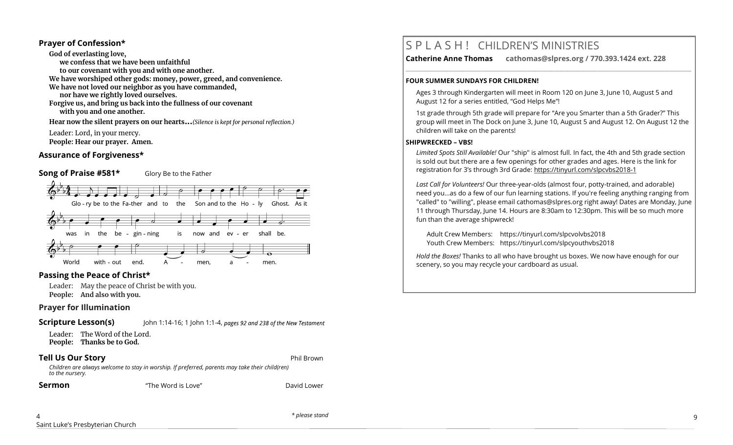## **Prayer of Confession\***

**God of everlasting love, we confess that we have been unfaithful to our covenant with you and with one another. We have worshiped other gods: money, power, greed, and convenience. We have not loved our neighbor as you have commanded, nor have we rightly loved ourselves. Forgive us, and bring us back into the fullness of our covenant with you and one another. Hear now the silent prayers on our hearts...***(Silence is kept for personal reflection.)*

Leader: Lord, in your mercy.

**People: Hear our prayer. Amen.**

## **Assurance of Forgiveness\***



# **Passing the Peace of Christ\***

Leader: May the peace of Christ be with you. **People: And also with you.** 

## **Prayer for Illumination**

**Scripture Lesson(s)** John 1:14-16; 1 John 1:1-4, pages 92 and 238 of the New Testament

Leader: The Word of the Lord. **People: Thanks be to God.**

#### **Tell Us Our Story Phil Brown and Story <b>Phil Brown**

*Children are always welcome to stay in worship. If preferred, parents may take their child(ren) to the nursery.*

**Sermon** The Word is Love" **David Lower** David Lower

# S P L A S H ! CHILDREN'S MINISTRIES

**Catherine Anne Thomas cathomas@slpres.org / 770.393.1424 ext. 228** 

#### **FOUR SUMMER SUNDAYS FOR CHILDREN!**

Ages 3 through Kindergarten will meet in Room 120 on June 3, June 10, August 5 and August 12 for a series entitled, "God Helps Me"!

**\_\_\_\_\_\_\_\_\_\_\_\_\_\_\_\_\_\_\_\_\_\_\_\_\_\_\_\_\_\_\_\_\_\_\_\_\_\_\_\_\_\_\_\_\_\_\_\_\_\_\_\_\_\_\_\_\_\_\_\_\_\_\_\_\_\_\_\_\_\_\_\_\_\_\_\_\_\_\_\_\_\_\_\_\_\_\_\_\_\_\_\_\_\_\_\_\_\_\_\_\_\_\_\_\_\_** 

1st grade through 5th grade will prepare for "Are you Smarter than a 5th Grader?" This group will meet in The Dock on June 3, June 10, August 5 and August 12. On August 12 the children will take on the parents!

#### **SHIPWRECKED – VBS!**

*Limited Spots Still Available!* Our "ship" is almost full. In fact, the 4th and 5th grade section is sold out but there are a few openings for other grades and ages. Here is the link for registration for 3's through 3rd Grade: https://tinyurl.com/slpcvbs2018-1

*Last Call for Volunteers!* Our three-year-olds (almost four, potty-trained, and adorable) need you...as do a few of our fun learning stations. If you're feeling anything ranging from "called" to "willing", please email cathomas@slpres.org right away! Dates are Monday, June 11 through Thursday, June 14. Hours are 8:30am to 12:30pm. This will be so much more fun than the average shipwreck!

Adult Crew Members: https://tinyurl.com/slpcvolvbs2018 Youth Crew Members: https://tinyurl.com/slpcyouthvbs2018

*Hold the Boxes!* Thanks to all who have brought us boxes. We now have enough for our scenery, so you may recycle your cardboard as usual.

*\* please stand* 9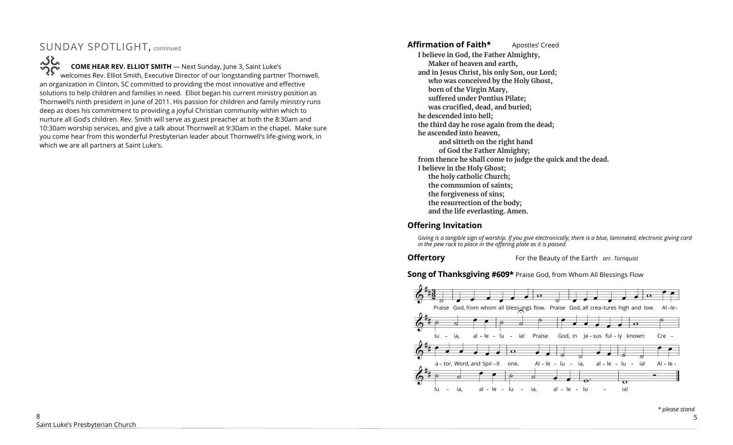# SUNDAY SPOTLIGHT, continued

**COME HEAR REV. ELLIOT SMITH** — Next Sunday, June 3, Saint Luke's COME HEAR REV. ELLIOT SMITH — Next Sunday, June 3, Saint Luke's<br>Welcomes Rev. Elliot Smith, Executive Director of our longstanding partner Thornwell, an organization in Clinton, SC committed to providing the most innovative and effective solutions to help children and families in need. Elliot began his current ministry position as Thornwell's ninth president in June of 2011. His passion for children and family ministry runs deep as does his commitment to providing a joyful Christian community within which to nurture all God's children. Rev. Smith will serve as guest preacher at both the 8:30am and 10:30am worship services, and give a talk about Thornwell at 9:30am in the chapel. Make sure you come hear from this wonderful Presbyterian leader about Thornwell's life-giving work, in which we are all partners at Saint Luke's.

#### **Affirmation of Faith\*** Apostles' Creed **I believe in God, the Father Almighty, Maker of heaven and earth, and in Jesus Christ, his only Son, our Lord; who was conceived by the Holy Ghost, born of the Virgin Mary, suffered under Pontius Pilate; was crucified, dead, and buried; he descended into hell; the third day he rose again from the dead; he ascended into heaven, and sitteth on the right hand of God the Father Almighty; from thence he shall come to judge the quick and the dead. I believe in the Holy Ghost; the holy catholic Church; the communion of saints; the forgiveness of sins; the resurrection of the body; and the life everlasting. Amen.**

# **Offering Invitation**

*Giving is a tangible sign of worship. If you give electronically, there is a blue, laminated, electronic giving card in the pew rack to place in the offering plate as it is passed.*

**Offertory** For the Beauty of the Earth *arr. Tornquist* 

**Song of Thanksgiving #609\*** Praise God, from Whom All Blessings Flow